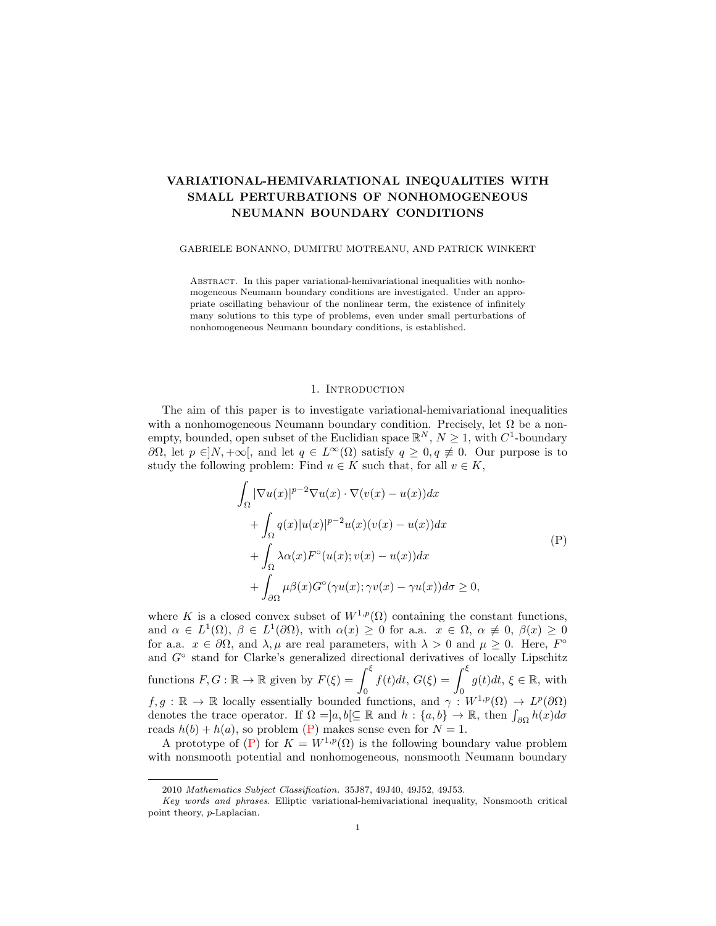# VARIATIONAL-HEMIVARIATIONAL INEQUALITIES WITH SMALL PERTURBATIONS OF NONHOMOGENEOUS NEUMANN BOUNDARY CONDITIONS

#### GABRIELE BONANNO, DUMITRU MOTREANU, AND PATRICK WINKERT

Abstract. In this paper variational-hemivariational inequalities with nonhomogeneous Neumann boundary conditions are investigated. Under an appropriate oscillating behaviour of the nonlinear term, the existence of infinitely many solutions to this type of problems, even under small perturbations of nonhomogeneous Neumann boundary conditions, is established.

#### <span id="page-0-0"></span>1. INTRODUCTION

The aim of this paper is to investigate variational-hemivariational inequalities with a nonhomogeneous Neumann boundary condition. Precisely, let  $\Omega$  be a nonempty, bounded, open subset of the Euclidian space  $\mathbb{R}^N$ ,  $N \geq 1$ , with  $C^1$ -boundary  $∂Ω$ , let  $p ∈ |N, +∞|$ , and let  $q ∈ L<sup>∞</sup>(Ω)$  satisfy  $q ≥ 0, q ≠ 0$ . Our purpose is to study the following problem: Find  $u \in K$  such that, for all  $v \in K$ ,

$$
\int_{\Omega} |\nabla u(x)|^{p-2} \nabla u(x) \cdot \nabla (v(x) - u(x)) dx \n+ \int_{\Omega} q(x) |u(x)|^{p-2} u(x) (v(x) - u(x)) dx \n+ \int_{\Omega} \lambda \alpha(x) F^{\circ}(u(x); v(x) - u(x)) dx \n+ \int_{\partial \Omega} \mu \beta(x) G^{\circ}(\gamma u(x); \gamma v(x) - \gamma u(x)) d\sigma \ge 0,
$$
\n(P)

where K is a closed convex subset of  $W^{1,p}(\Omega)$  containing the constant functions, and  $\alpha \in L^1(\Omega)$ ,  $\beta \in L^1(\partial\Omega)$ , with  $\alpha(x) \geq 0$  for a.a.  $x \in \Omega$ ,  $\alpha \neq 0$ ,  $\beta(x) \geq 0$ for a.a.  $x \in \partial\Omega$ , and  $\lambda, \mu$  are real parameters, with  $\lambda > 0$  and  $\mu \geq 0$ . Here,  $F^{\circ}$ and G<sup>°</sup> stand for Clarke's generalized directional derivatives of locally Lipschitz functions  $F, G : \mathbb{R} \to \mathbb{R}$  given by  $F(\xi) = \int_{\xi}$ 0  $f(t)dt, G(\xi) = \int^{\xi}$ 0  $g(t)dt, \xi \in \mathbb{R}$ , with  $f, g: \mathbb{R} \to \mathbb{R}$  locally essentially bounded functions, and  $\gamma: W^{1,p}(\Omega) \to L^p(\partial\Omega)$ denotes the trace operator. If  $\Omega =]a, b[ \subseteq \mathbb{R} \text{ and } h: \{a, b\} \to \mathbb{R}, \text{ then } \int_{\partial\Omega} h(x) d\sigma$ reads  $h(b) + h(a)$ , so problem [\(P\)](#page-0-0) makes sense even for  $N = 1$ .

A prototype of [\(P\)](#page-0-0) for  $K = W^{1,p}(\Omega)$  is the following boundary value problem with nonsmooth potential and nonhomogeneous, nonsmooth Neumann boundary

<sup>2010</sup> Mathematics Subject Classification. 35J87, 49J40, 49J52, 49J53.

Key words and phrases. Elliptic variational-hemivariational inequality, Nonsmooth critical point theory, p-Laplacian.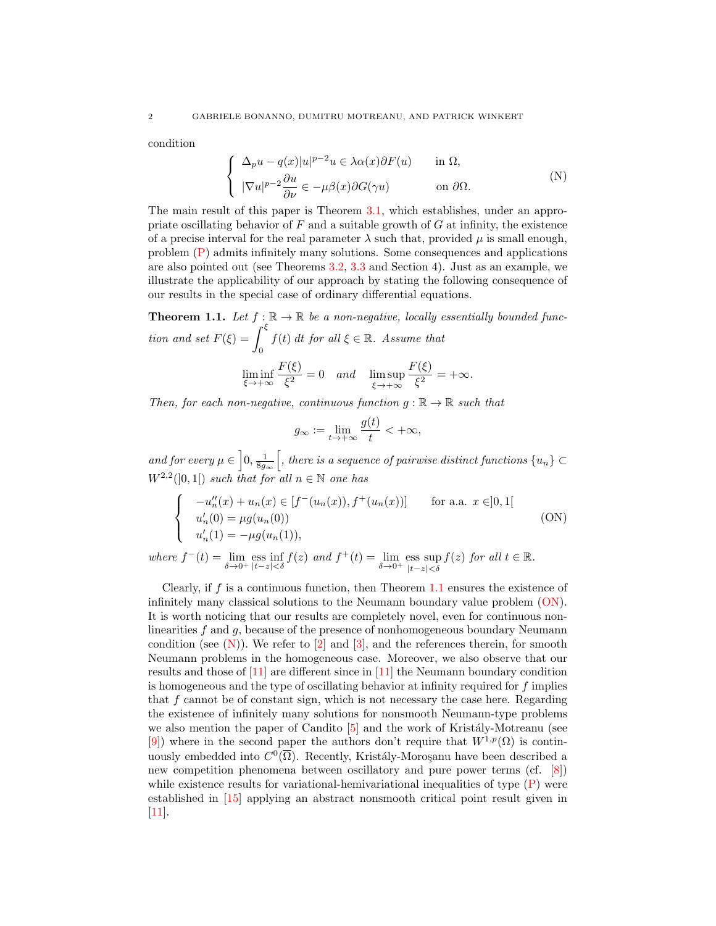condition

<span id="page-1-2"></span>
$$
\begin{cases}\n\Delta_p u - q(x)|u|^{p-2}u \in \lambda \alpha(x)\partial F(u) & \text{in } \Omega, \\
|\nabla u|^{p-2}\frac{\partial u}{\partial \nu} \in -\mu \beta(x)\partial G(\gamma u) & \text{on } \partial \Omega.\n\end{cases} \tag{N}
$$

The main result of this paper is Theorem [3.1,](#page-4-0) which establishes, under an appropriate oscillating behavior of  $F$  and a suitable growth of  $G$  at infinity, the existence of a precise interval for the real parameter  $\lambda$  such that, provided  $\mu$  is small enough, problem [\(P\)](#page-0-0) admits infinitely many solutions. Some consequences and applications are also pointed out (see Theorems [3.2,](#page-8-0) [3.3](#page-9-0) and Section 4). Just as an example, we illustrate the applicability of our approach by stating the following consequence of our results in the special case of ordinary differential equations.

<span id="page-1-0"></span>**Theorem 1.1.** Let  $f : \mathbb{R} \to \mathbb{R}$  be a non-negative, locally essentially bounded function and set  $F(\xi) = \int^{\xi}$ 0  $f(t)$  dt for all  $\xi \in \mathbb{R}$ . Assume that  $\liminf_{\xi \to +\infty}$  $F(\xi)$  $\frac{\zeta^{(s)}}{\xi^{2}} = 0$  and  $\limsup_{\xi \to +\infty}$  $F(\xi)$  $\frac{\zeta}{\zeta^2} = +\infty.$ 

Then, for each non-negative, continuous function  $g : \mathbb{R} \to \mathbb{R}$  such that

<span id="page-1-1"></span>
$$
g_{\infty} := \lim_{t \to +\infty} \frac{g(t)}{t} < +\infty,
$$

and for every  $\mu \in \left]0, \frac{1}{8g_{\infty}}\right[$ , there is a sequence of pairwise distinct functions  $\{u_n\} \subset$  $W^{2,2}(]0,1[)$  such that for all  $n \in \mathbb{N}$  one has

$$
\begin{cases}\n-u''_n(x) + u_n(x) \in [f^-(u_n(x)), f^+(u_n(x))] & \text{for a.a. } x \in ]0,1[ \\
u'_n(0) = \mu g(u_n(0)) & \\
u'_n(1) = -\mu g(u_n(1)), & \n\end{cases}
$$
\n(ON)

where  $f^-(t) = \lim_{\delta \to 0^+} \text{ess} \inf_{|t-z| < \delta} f(z)$  and  $f^+(t) = \lim_{\delta \to 0^+} \text{ess} \sup_{|t-z| < \delta}$ |t−z|<δ  $f(z)$  for all  $t \in \mathbb{R}$ .

Clearly, if  $f$  is a continuous function, then Theorem [1.1](#page-1-0) ensures the existence of infinitely many classical solutions to the Neumann boundary value problem [\(ON\)](#page-1-1). It is worth noticing that our results are completely novel, even for continuous nonlinearities f and g, because of the presence of nonhomogeneous boundary Neumann condition (see  $(N)$ ). We refer to [\[2\]](#page-13-0) and [\[3\]](#page-13-1), and the references therein, for smooth Neumann problems in the homogeneous case. Moreover, we also observe that our results and those of [\[11\]](#page-14-0) are different since in [\[11\]](#page-14-0) the Neumann boundary condition is homogeneous and the type of oscillating behavior at infinity required for  $f$  implies that  $f$  cannot be of constant sign, which is not necessary the case here. Regarding the existence of infinitely many solutions for nonsmooth Neumann-type problems we also mention the paper of Candito  $[5]$  and the work of Kristály-Motreanu (see [\[9\]](#page-13-3)) where in the second paper the authors don't require that  $W^{1,p}(\Omega)$  is continuously embedded into  $C^0(\overline{\Omega})$ . Recently, Kristály-Moroşanu have been described a new competition phenomena between oscillatory and pure power terms (cf. [\[8\]](#page-13-4)) while existence results for variational-hemivariational inequalities of type  $(P)$  were established in [\[15\]](#page-14-1) applying an abstract nonsmooth critical point result given in [\[11\]](#page-14-0).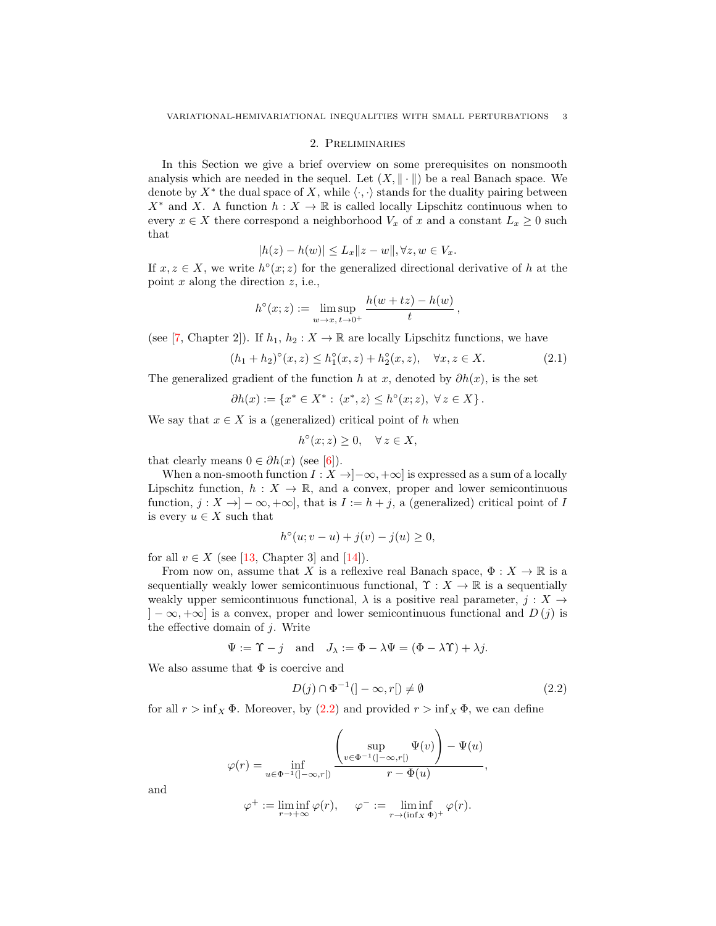## 2. Preliminaries

In this Section we give a brief overview on some prerequisites on nonsmooth analysis which are needed in the sequel. Let  $(X, \|\cdot\|)$  be a real Banach space. We denote by  $X^*$  the dual space of X, while  $\langle \cdot, \cdot \rangle$  stands for the duality pairing between  $X^*$  and X. A function  $h: X \to \mathbb{R}$  is called locally Lipschitz continuous when to every  $x \in X$  there correspond a neighborhood  $V_x$  of x and a constant  $L_x \geq 0$  such that

$$
|h(z) - h(w)| \le L_x ||z - w||, \forall z, w \in V_x.
$$

If  $x, z \in X$ , we write  $h^{\circ}(x; z)$  for the generalized directional derivative of h at the point  $x$  along the direction  $z$ , i.e.,

$$
h^{\circ}(x;z) := \limsup_{w \to x, t \to 0^+} \frac{h(w + tz) - h(w)}{t},
$$

(see [\[7,](#page-13-5) Chapter 2]). If  $h_1, h_2 : X \to \mathbb{R}$  are locally Lipschitz functions, we have

<span id="page-2-1"></span>
$$
(h_1 + h_2)^{\circ}(x, z) \le h_1^{\circ}(x, z) + h_2^{\circ}(x, z), \quad \forall x, z \in X.
$$
 (2.1)

The generalized gradient of the function h at x, denoted by  $\partial h(x)$ , is the set

$$
\partial h(x):=\left\{x^*\in X^*:\,\langle x^*,z\rangle\leq h^\circ(x;z),\;\forall\,z\in X\right\}.
$$

We say that  $x \in X$  is a (generalized) critical point of h when

$$
h^{\circ}(x; z) \ge 0, \quad \forall z \in X,
$$

that clearly means  $0 \in \partial h(x)$  (see [\[6\]](#page-13-6)).

When a non-smooth function  $I : X \to ]-\infty, +\infty]$  is expressed as a sum of a locally Lipschitz function,  $h: X \to \mathbb{R}$ , and a convex, proper and lower semicontinuous function,  $j: X \to ]-\infty, +\infty]$ , that is  $I := h + j$ , a (generalized) critical point of I is every  $u \in X$  such that

$$
h^{\circ}(u; v - u) + j(v) - j(u) \ge 0,
$$

for all  $v \in X$  (see [\[13,](#page-14-2) Chapter 3] and [\[14\]](#page-14-3)).

From now on, assume that X is a reflexive real Banach space,  $\Phi: X \to \mathbb{R}$  is a sequentially weakly lower semicontinuous functional,  $\Upsilon : X \to \mathbb{R}$  is a sequentially weakly upper semicontinuous functional,  $\lambda$  is a positive real parameter,  $j : X \rightarrow$  $[-\infty, +\infty]$  is a convex, proper and lower semicontinuous functional and  $D(i)$  is the effective domain of  $j$ . Write

$$
\Psi := \Upsilon - j
$$
 and  $J_{\lambda} := \Phi - \lambda \Psi = (\Phi - \lambda \Upsilon) + \lambda j$ .

We also assume that  $\Phi$  is coercive and

<span id="page-2-0"></span>
$$
D(j) \cap \Phi^{-1}(]-\infty, r[) \neq \emptyset \tag{2.2}
$$

for all  $r > \inf_X \Phi$ . Moreover, by  $(2.2)$  and provided  $r > \inf_X \Phi$ , we can define

$$
\varphi(r) = \inf_{u \in \Phi^{-1}(\mathcal{I} - \infty, r\mathcal{I})} \frac{\left(\sup_{v \in \Phi^{-1}(\mathcal{I} - \infty, r\mathcal{I})} \Psi(v)\right) - \Psi(u)}{r - \Phi(u)},
$$

$$
\varphi^+ := \liminf_{r \to +\infty} \varphi(r), \quad \varphi^- := \liminf_{r \to (\inf_X \Phi)^+} \varphi(r).
$$

and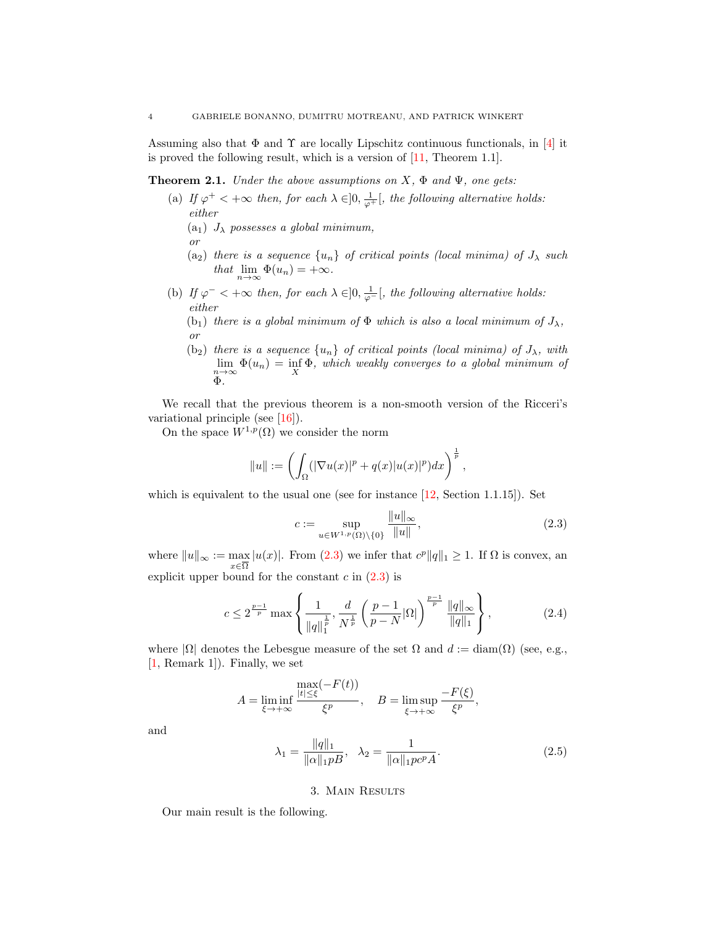Assuming also that  $\Phi$  and  $\Upsilon$  are locally Lipschitz continuous functionals, in [\[4\]](#page-13-7) it is proved the following result, which is a version of  $[11,$  Theorem 1.1.

<span id="page-3-2"></span>**Theorem 2.1.** Under the above assumptions on  $X$ ,  $\Phi$  and  $\Psi$ , one gets:

- (a) If  $\varphi^+ < +\infty$  then, for each  $\lambda \in ]0, \frac{1}{\varphi^+}[$ , the following alternative holds: either
	- (a<sub>1</sub>)  $J_{\lambda}$  possesses a global minimum,
	- or
	- (a<sub>2</sub>) there is a sequence  $\{u_n\}$  of critical points (local minima) of  $J_\lambda$  such that  $\lim_{n\to\infty} \Phi(u_n) = +\infty$ .
- (b) If  $\varphi^-$  < + $\infty$  then, for each  $\lambda \in ]0, \frac{1}{\varphi^-}[,$  the following alternative holds: either
	- (b<sub>1</sub>) there is a global minimum of  $\Phi$  which is also a local minimum of  $J_{\lambda}$ , or
	- (b<sub>2</sub>) there is a sequence  $\{u_n\}$  of critical points (local minima) of  $J_{\lambda}$ , with  $\lim_{n\to\infty} \Phi(u_n) = \inf_X \Phi$ , which weakly converges to a global minimum of Φ.

We recall that the previous theorem is a non-smooth version of the Ricceri's variational principle (see [\[16\]](#page-14-4)).

On the space  $W^{1,p}(\Omega)$  we consider the norm

$$
||u|| := \left(\int_{\Omega} (|\nabla u(x)|^p + q(x)|u(x)|^p) dx\right)^{\frac{1}{p}},
$$

which is equivalent to the usual one (see for instance [\[12,](#page-14-5) Section 1.1.15]). Set

<span id="page-3-0"></span>
$$
c := \sup_{u \in W^{1,p}(\Omega) \setminus \{0\}} \frac{\|u\|_{\infty}}{\|u\|},
$$
\n(2.3)

where  $||u||_{\infty} := \max_{x \in \overline{\Omega}} |u(x)|$ . From [\(2.3\)](#page-3-0) we infer that  $c^p ||q||_1 \geq 1$ . If  $\Omega$  is convex, an explicit upper bound for the constant  $c$  in  $(2.3)$  is

<span id="page-3-3"></span>
$$
c \le 2^{\frac{p-1}{p}} \max \left\{ \frac{1}{\|q\|_1^{\frac{1}{p}}}, \frac{d}{N^{\frac{1}{p}}} \left(\frac{p-1}{p-N} |\Omega| \right)^{\frac{p-1}{p}} \frac{\|q\|_{\infty}}{\|q\|_1} \right\},
$$
(2.4)

where  $|\Omega|$  denotes the Lebesgue measure of the set  $\Omega$  and  $d := \text{diam}(\Omega)$  (see, e.g., [\[1,](#page-13-8) Remark 1]). Finally, we set

$$
A = \liminf_{\xi \to +\infty} \frac{\max(-F(t))}{\xi^p}, \quad B = \limsup_{\xi \to +\infty} \frac{-F(\xi)}{\xi^p},
$$

and

<span id="page-3-1"></span>
$$
\lambda_1 = \frac{\|q\|_1}{\|\alpha\|_1 p B}, \quad \lambda_2 = \frac{1}{\|\alpha\|_1 p c^p A}.
$$
\n(2.5)

## 3. Main Results

Our main result is the following.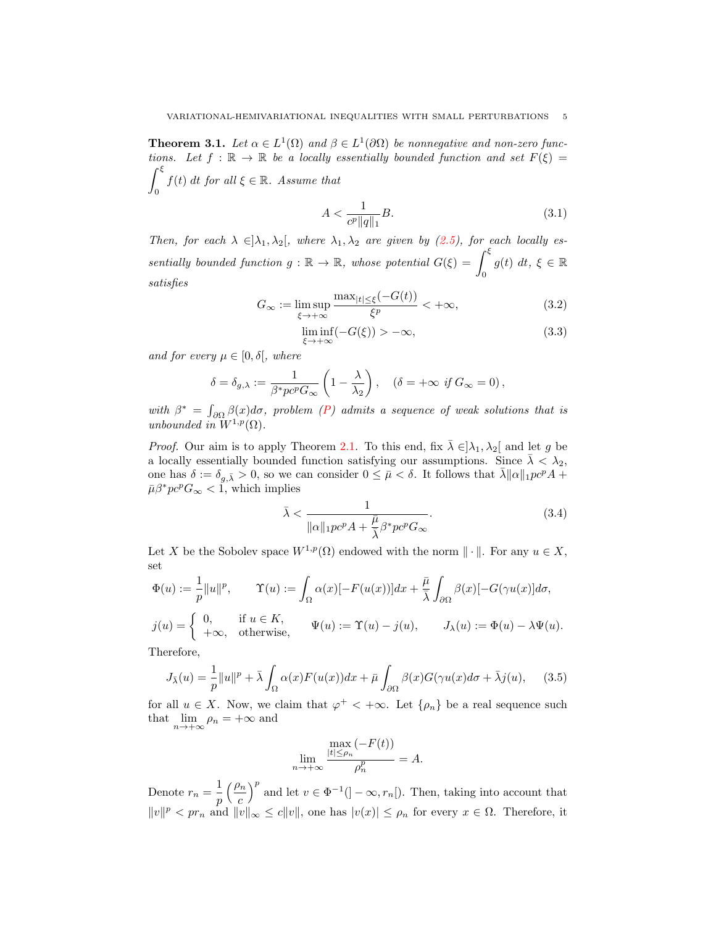<span id="page-4-0"></span>**Theorem 3.1.** Let  $\alpha \in L^1(\Omega)$  and  $\beta \in L^1(\partial \Omega)$  be nonnegative and non-zero functions. Let  $f : \mathbb{R} \to \mathbb{R}$  be a locally essentially bounded function and set  $F(\xi) =$  $\int^{\xi}$ 0  $f(t)$  dt for all  $\xi \in \mathbb{R}$ . Assume that

<span id="page-4-1"></span>
$$
A < \frac{1}{c^p \|q\|_1} B. \tag{3.1}
$$

Then, for each  $\lambda \in ]\lambda_1, \lambda_2[$ , where  $\lambda_1, \lambda_2$  are given by [\(2.5\)](#page-3-1), for each locally essentially bounded function  $g : \mathbb{R} \to \mathbb{R}$ , whose potential  $G(\xi) = \int_{\xi}^{\xi}$ 0  $g(t) dt, \xi \in \mathbb{R}$ satisfies

<span id="page-4-2"></span>
$$
G_{\infty} := \limsup_{\xi \to +\infty} \frac{\max_{|t| \le \xi} (-G(t))}{\xi^p} < +\infty,\tag{3.2}
$$

<span id="page-4-5"></span>
$$
\liminf_{\xi \to +\infty} (-G(\xi)) > -\infty,\tag{3.3}
$$

and for every  $\mu \in [0, \delta],$  where

$$
\delta = \delta_{g,\lambda} := \frac{1}{\beta^* p c^p G_{\infty}} \left( 1 - \frac{\lambda}{\lambda_2} \right), \quad (\delta = +\infty \text{ if } G_{\infty} = 0),
$$

with  $\beta^* = \int_{\partial \Omega} \beta(x) d\sigma$ , problem [\(P\)](#page-0-0) admits a sequence of weak solutions that is unbounded in  $W^{1,p}(\Omega)$ .

*Proof.* Our aim is to apply Theorem [2.1.](#page-3-2) To this end, fix  $\bar{\lambda} \in ]\lambda_1, \lambda_2[$  and let g be a locally essentially bounded function satisfying our assumptions. Since  $\bar{\lambda} < \lambda_2$ , one has  $\delta := \delta_{g,\bar{\lambda}} > 0$ , so we can consider  $0 \leq \bar{\mu} < \delta$ . It follows that  $\bar{\lambda} \| \alpha \|_1 p c^p A +$  $\bar{\mu}\beta^*pc^pG_\infty < 1$ , which implies

<span id="page-4-3"></span>
$$
\bar{\lambda} < \frac{1}{\|\alpha\|_1 pc^p A + \frac{\bar{\mu}}{\bar{\lambda}} \beta^* pc^p G_{\infty}}.\tag{3.4}
$$

Let X be the Sobolev space  $W^{1,p}(\Omega)$  endowed with the norm  $\|\cdot\|$ . For any  $u \in X$ , set

$$
\Phi(u) := \frac{1}{p} ||u||^p, \qquad \Upsilon(u) := \int_{\Omega} \alpha(x) [-F(u(x))] dx + \frac{\bar{\mu}}{\bar{\lambda}} \int_{\partial \Omega} \beta(x) [-G(\gamma u(x)] d\sigma,
$$

$$
j(u) = \begin{cases} 0, & \text{if } u \in K, \\ +\infty, & \text{otherwise,} \end{cases} \qquad \Psi(u) := \Upsilon(u) - j(u), \qquad J_{\lambda}(u) := \Phi(u) - \lambda \Psi(u).
$$

Therefore,

<span id="page-4-4"></span>
$$
J_{\bar{\lambda}}(u) = \frac{1}{p} ||u||^p + \bar{\lambda} \int_{\Omega} \alpha(x) F(u(x)) dx + \bar{\mu} \int_{\partial \Omega} \beta(x) G(\gamma u(x) d\sigma + \bar{\lambda} j(u)), \quad (3.5)
$$

for all  $u \in X$ . Now, we claim that  $\varphi^+ < +\infty$ . Let  $\{\rho_n\}$  be a real sequence such that  $\lim_{n \to +\infty} \rho_n = +\infty$  and

$$
\lim_{n \to +\infty} \frac{\max\limits_{|t| \le \rho_n} (-F(t))}{\rho_n^p} = A.
$$

Denote  $r_n = \frac{1}{n}$ p  $\int$ c  $\int_{0}^{p}$  and let  $v \in \Phi^{-1}([-\infty, r_n])$ . Then, taking into account that  $||v||^p < pr_n$  and  $||v||_{\infty} \le c||v||$ , one has  $|v(x)| \le \rho_n$  for every  $x \in \Omega$ . Therefore, it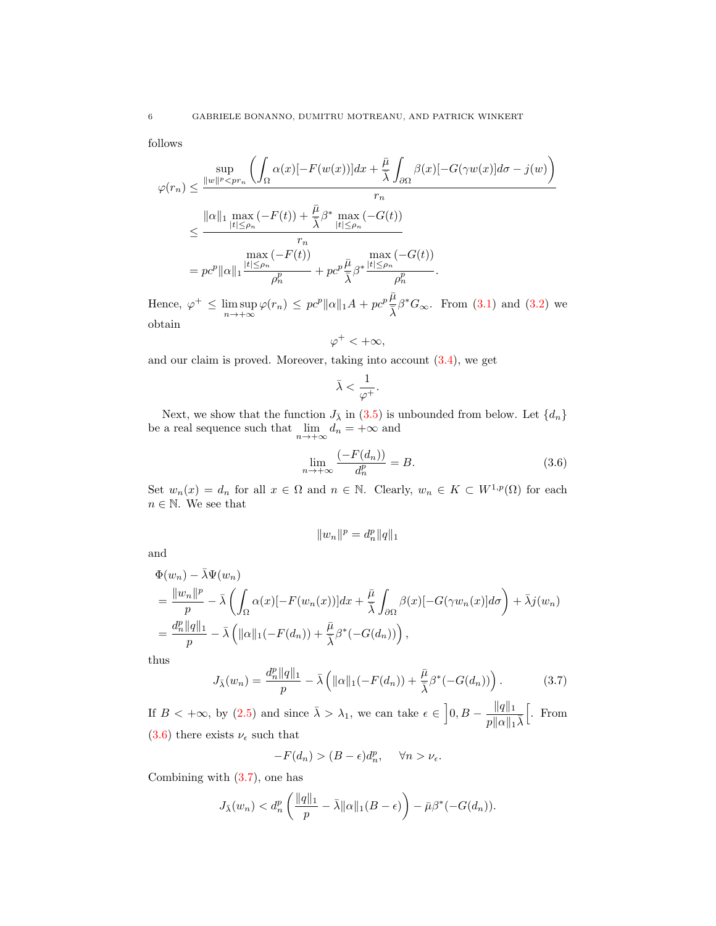follows

$$
\varphi(r_n) \leq \frac{\sup}{\|w\|^p \leq pr_n} \left( \int_{\Omega} \alpha(x) [-F(w(x))] dx + \frac{\bar{\mu}}{\bar{\lambda}} \int_{\partial \Omega} \beta(x) [-G(\gamma w(x)] d\sigma - j(w)] \right)
$$
  

$$
\leq \frac{\|\alpha\|_1 \max_{|t| \leq \rho_n} (-F(t)) + \frac{\bar{\mu}}{\bar{\lambda}} \beta^* \max_{|t| \leq \rho_n} (-G(t))}{r_n}
$$
  

$$
= pc^p \|\alpha\|_1 \frac{\max_{|t| \leq \rho_n} (-F(t))}{\rho_n^p} + pc^p \frac{\bar{\mu}}{\bar{\lambda}} \beta^* \frac{\max_{|t| \leq \rho_n} (-G(t))}{\rho_n^p}.
$$

Hence,  $\varphi^+ \leq \limsup_{n \to +\infty} \varphi(r_n) \leq pc^p ||\alpha||_1 A + pc^p \frac{\bar{\mu}}{\bar{\lambda}} \beta^* G_{\infty}$ . From [\(3.1\)](#page-4-1) and [\(3.2\)](#page-4-2) we obtain

$$
\varphi^+<+\infty,
$$

and our claim is proved. Moreover, taking into account  $(3.4)$ , we get

$$
\bar{\lambda}<\frac{1}{\varphi^+}.
$$

Next, we show that the function  $J_{\bar{\lambda}}$  in [\(3.5\)](#page-4-4) is unbounded from below. Let  $\{d_n\}$ be a real sequence such that  $\lim_{n \to +\infty} d_n = +\infty$  and

<span id="page-5-0"></span>
$$
\lim_{n \to +\infty} \frac{(-F(d_n))}{d_n^p} = B.
$$
\n(3.6)

Set  $w_n(x) = d_n$  for all  $x \in \Omega$  and  $n \in \mathbb{N}$ . Clearly,  $w_n \in K \subset W^{1,p}(\Omega)$  for each  $n\in\mathbb{N}.$  We see that

$$
||w_n||^p = d_n^p ||q||_1
$$

and

$$
\Phi(w_n) - \bar{\lambda}\Psi(w_n)
$$
\n
$$
= \frac{\|w_n\|^p}{p} - \bar{\lambda} \left( \int_{\Omega} \alpha(x) [-F(w_n(x))] dx + \frac{\bar{\mu}}{\bar{\lambda}} \int_{\partial \Omega} \beta(x) [-G(\gamma w_n(x)] d\sigma \right) + \bar{\lambda}j(w_n)
$$
\n
$$
= \frac{d_n^p \|q\|_1}{p} - \bar{\lambda} \left( \|\alpha\|_1 (-F(d_n)) + \frac{\bar{\mu}}{\bar{\lambda}} \beta^*(-G(d_n)) \right),
$$

thus

<span id="page-5-1"></span>
$$
J_{\bar{\lambda}}(w_n) = \frac{d_n^p ||q||_1}{p} - \bar{\lambda} \left( ||\alpha||_1(-F(d_n)) + \frac{\bar{\mu}}{\bar{\lambda}} \beta^*(-G(d_n)) \right). \tag{3.7}
$$

If  $B < +\infty$ , by  $(2.5)$  and since  $\bar{\lambda} > \lambda_1$ , we can take  $\epsilon \in \left]0, B - \frac{\|q\|_1}{\|q\|_1}$  $\overline{p\|\alpha\|_1\bar\lambda}$  $\left[ . \right.$  From [\(3.6\)](#page-5-0) there exists  $\nu_{\epsilon}$  such that

$$
-F(d_n) > (B - \epsilon)d_n^p, \quad \forall n > \nu_{\epsilon}.
$$

Combining with [\(3.7\)](#page-5-1), one has

$$
J_{\bar{\lambda}}(w_n) < d_n^p \left( \frac{\|q\|_1}{p} - \bar{\lambda} \|\alpha\|_1 (B - \epsilon) \right) - \bar{\mu} \beta^* (-G(d_n)).
$$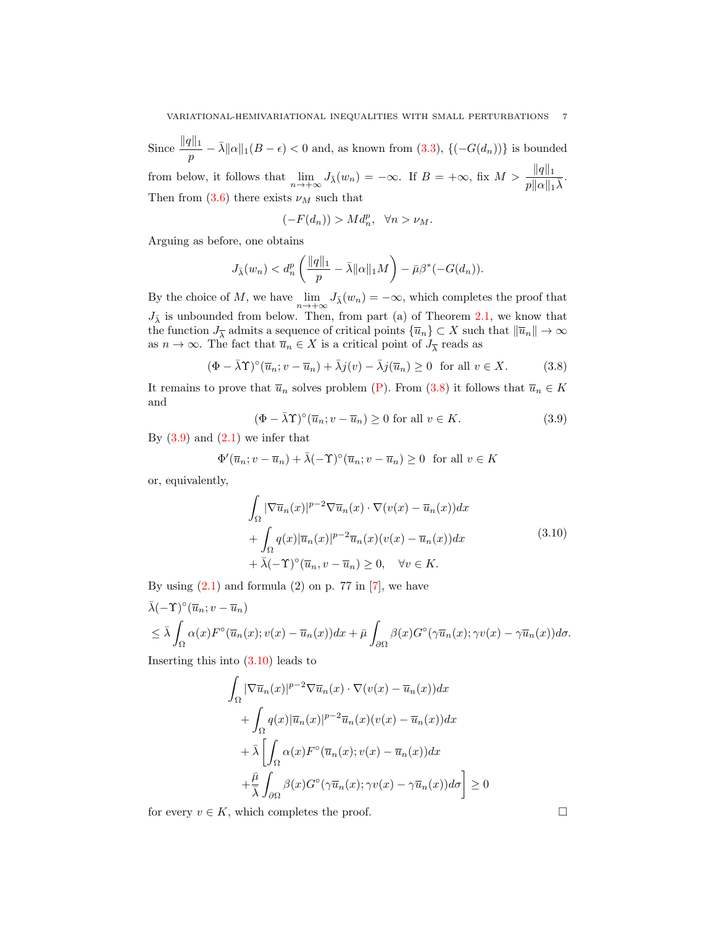Since  $\frac{\|q\|_1}{p} - \bar{\lambda} \|\alpha\|_1(B - \epsilon) < 0$  and, as known from  $(3.3)$ ,  $\{(-G(d_n))\}$  is bounded from below, it follows that  $\lim_{n \to +\infty} J_{\bar{\lambda}}(w_n) = -\infty$ . If  $B = +\infty$ , fix  $M > \frac{\|q\|_1}{p\|\alpha\|_1 \bar{\lambda}}$ . Then from  $(3.6)$  there exists  $\nu_M$  such that

$$
(-F(d_n)) > Md_n^p, \quad \forall n > \nu_M.
$$

Arguing as before, one obtains

$$
J_{\bar{\lambda}}(w_n) < d_n^p \left( \frac{\|q\|_1}{p} - \bar{\lambda} \|\alpha\|_1 M \right) - \bar{\mu} \beta^*(-G(d_n)).
$$

By the choice of M, we have  $\lim_{n \to +\infty} J_{\bar{\lambda}}(w_n) = -\infty$ , which completes the proof that  $J_{\bar{\lambda}}$  is unbounded from below. Then, from part (a) of Theorem [2.1,](#page-3-2) we know that the function  $J_{\overline{\lambda}}$  admits a sequence of critical points  $\{\overline{u}_n\} \subset X$  such that  $\|\overline{u}_n\| \to \infty$ as  $n \to \infty$ . The fact that  $\overline{u}_n \in X$  is a critical point of  $J_{\overline{\lambda}}$  reads as

<span id="page-6-0"></span>
$$
(\Phi - \bar{\lambda}\Upsilon)^{\circ}(\overline{u}_n; v - \overline{u}_n) + \bar{\lambda}j(v) - \bar{\lambda}j(\overline{u}_n) \ge 0 \text{ for all } v \in X.
$$
 (3.8)

It remains to prove that  $\overline{u}_n$  solves problem [\(P\)](#page-0-0). From [\(3.8\)](#page-6-0) it follows that  $\overline{u}_n \in K$ and

<span id="page-6-1"></span>
$$
(\Phi - \bar{\lambda}\Upsilon)^{\circ}(\overline{u}_n; v - \overline{u}_n) \ge 0 \text{ for all } v \in K. \tag{3.9}
$$

By  $(3.9)$  and  $(2.1)$  we infer that

<span id="page-6-2"></span>
$$
\Phi'(\overline{u}_n; v - \overline{u}_n) + \overline{\lambda}(-\Upsilon)^{\circ}(\overline{u}_n; v - \overline{u}_n) \ge 0 \text{ for all } v \in K
$$

or, equivalently,

$$
\int_{\Omega} |\nabla \overline{u}_n(x)|^{p-2} \nabla \overline{u}_n(x) \cdot \nabla (v(x) - \overline{u}_n(x)) dx \n+ \int_{\Omega} q(x) |\overline{u}_n(x)|^{p-2} \overline{u}_n(x) (v(x) - \overline{u}_n(x)) dx \n+ \overline{\lambda}(-\Upsilon)^{\circ} (\overline{u}_n, v - \overline{u}_n) \ge 0, \quad \forall v \in K.
$$
\n(3.10)

By using  $(2.1)$  and formula  $(2)$  on p. 77 in  $[7]$ , we have

$$
\bar{\lambda}(-\Upsilon)^{\circ}(\overline{u}_n; v - \overline{u}_n)
$$
\n
$$
\leq \bar{\lambda} \int_{\Omega} \alpha(x) F^{\circ}(\overline{u}_n(x); v(x) - \overline{u}_n(x)) dx + \bar{\mu} \int_{\partial \Omega} \beta(x) G^{\circ}(\gamma \overline{u}_n(x); \gamma v(x) - \gamma \overline{u}_n(x)) d\sigma.
$$

Inserting this into  $(3.10)$  leads to

$$
\int_{\Omega} |\nabla \overline{u}_n(x)|^{p-2} \nabla \overline{u}_n(x) \cdot \nabla (v(x) - \overline{u}_n(x)) dx
$$

$$
+ \int_{\Omega} q(x) |\overline{u}_n(x)|^{p-2} \overline{u}_n(x) (v(x) - \overline{u}_n(x)) dx
$$

$$
+ \overline{\lambda} \left[ \int_{\Omega} \alpha(x) F^{\circ}(\overline{u}_n(x); v(x) - \overline{u}_n(x)) dx \right.
$$

$$
+ \frac{\overline{\mu}}{\overline{\lambda}} \int_{\partial \Omega} \beta(x) G^{\circ}(\gamma \overline{u}_n(x); \gamma v(x) - \gamma \overline{u}_n(x)) d\sigma \right] \ge 0
$$

for every  $v \in K$ , which completes the proof.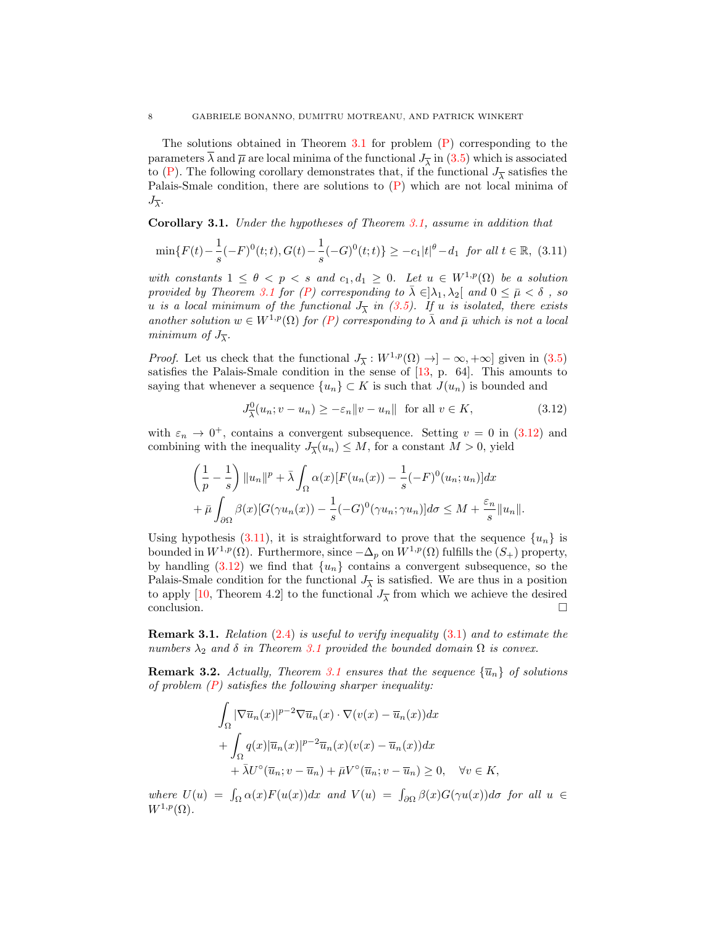The solutions obtained in Theorem [3.1](#page-4-0) for problem  $(P)$  corresponding to the parameters  $\lambda$  and  $\overline{\mu}$  are local minima of the functional  $J_{\overline{\lambda}}$  in [\(3.5\)](#page-4-4) which is associated to [\(P\)](#page-0-0). The following corollary demonstrates that, if the functional  $J_{\overline{\lambda}}$  satisfies the Palais-Smale condition, there are solutions to  $(P)$  which are not local minima of  $J_{\overline{\lambda}}$ .

Corollary 3.1. Under the hypotheses of Theorem [3.1,](#page-4-0) assume in addition that

<span id="page-7-1"></span>
$$
\min\{F(t) - \frac{1}{s}(-F)^{0}(t; t), G(t) - \frac{1}{s}(-G)^{0}(t; t)\} \ge -c_{1}|t|^{\theta} - d_{1} \text{ for all } t \in \mathbb{R}, (3.11)
$$

with constants  $1 \leq \theta < p < s$  and  $c_1, d_1 \geq 0$ . Let  $u \in W^{1,p}(\Omega)$  be a solution provided by Theorem [3.1](#page-4-0) for [\(P\)](#page-0-0) corresponding to  $\bar{\lambda} \in ]\lambda_1, \lambda_2[$  and  $0 \leq \bar{\mu} < \delta$ , so u is a local minimum of the functional  $J_{\overline{\lambda}}$  in [\(3.5\)](#page-4-4). If u is isolated, there exists another solution  $w \in W^{1,p}(\Omega)$  for  $(P)$  corresponding to  $\overline{\lambda}$  and  $\overline{\mu}$  which is not a local minimum of  $J_{\overline{\lambda}}$ .

*Proof.* Let us check that the functional  $J_{\overline{\lambda}} : W^{1,p}(\Omega) \to ]-\infty, +\infty]$  given in [\(3.5\)](#page-4-4) satisfies the Palais-Smale condition in the sense of  $[13, p. 64]$  $[13, p. 64]$ . This amounts to saying that whenever a sequence  $\{u_n\} \subset K$  is such that  $J(u_n)$  is bounded and

<span id="page-7-0"></span>
$$
J^0_{\overline{\lambda}}(u_n; v - u_n) \ge -\varepsilon_n \|v - u_n\| \text{ for all } v \in K,
$$
\n(3.12)

with  $\varepsilon_n \to 0^+$ , contains a convergent subsequence. Setting  $v = 0$  in [\(3.12\)](#page-7-0) and combining with the inequality  $J_{\overline{\lambda}}(u_n) \leq M$ , for a constant  $M > 0$ , yield

$$
\left(\frac{1}{p} - \frac{1}{s}\right) \|u_n\|^p + \bar{\lambda} \int_{\Omega} \alpha(x) [F(u_n(x)) - \frac{1}{s}(-F)^0(u_n; u_n)] dx
$$
  
+  $\bar{\mu} \int_{\partial \Omega} \beta(x) [G(\gamma u_n(x)) - \frac{1}{s}(-G)^0(\gamma u_n; \gamma u_n)] d\sigma \le M + \frac{\varepsilon_n}{s} \|u_n\|.$ 

Using hypothesis [\(3.11\)](#page-7-1), it is straightforward to prove that the sequence  $\{u_n\}$  is bounded in  $W^{1,p}(\Omega)$ . Furthermore, since  $-\Delta_p$  on  $W^{1,p}(\Omega)$  fulfills the  $(S_+)$  property, by handling  $(3.12)$  we find that  $\{u_n\}$  contains a convergent subsequence, so the Palais-Smale condition for the functional  $J_{\overline{\lambda}}$  is satisfied. We are thus in a position to apply [\[10,](#page-14-6) Theorem 4.2] to the functional  $J_{\overline{\lambda}}$  from which we achieve the desired  $\Box$ conclusion.

Remark 3.1. Relation [\(2.4\)](#page-3-3) is useful to verify inequality [\(3.1\)](#page-4-1) and to estimate the numbers  $\lambda_2$  and  $\delta$  in Theorem [3.1](#page-4-0) provided the bounded domain  $\Omega$  is convex.

<span id="page-7-2"></span>**Remark 3.2.** Actually, Theorem [3.1](#page-4-0) ensures that the sequence  ${\bar{u}}_n$  of solutions of problem  $(P)$  satisfies the following sharper inequality:

$$
\int_{\Omega} |\nabla \overline{u}_n(x)|^{p-2} \nabla \overline{u}_n(x) \cdot \nabla (v(x) - \overline{u}_n(x)) dx
$$
  
+ 
$$
\int_{\Omega} q(x) |\overline{u}_n(x)|^{p-2} \overline{u}_n(x) (v(x) - \overline{u}_n(x)) dx
$$
  
+ 
$$
\overline{\lambda} U^{\circ} (\overline{u}_n; v - \overline{u}_n) + \overline{\mu} V^{\circ} (\overline{u}_n; v - \overline{u}_n) \ge 0, \quad \forall v \in K,
$$

where  $U(u) = \int_{\Omega} \alpha(x) F(u(x)) dx$  and  $V(u) = \int_{\partial \Omega} \beta(x) G(\gamma u(x)) d\sigma$  for all  $u \in$  $W^{1,p}(\Omega)$ .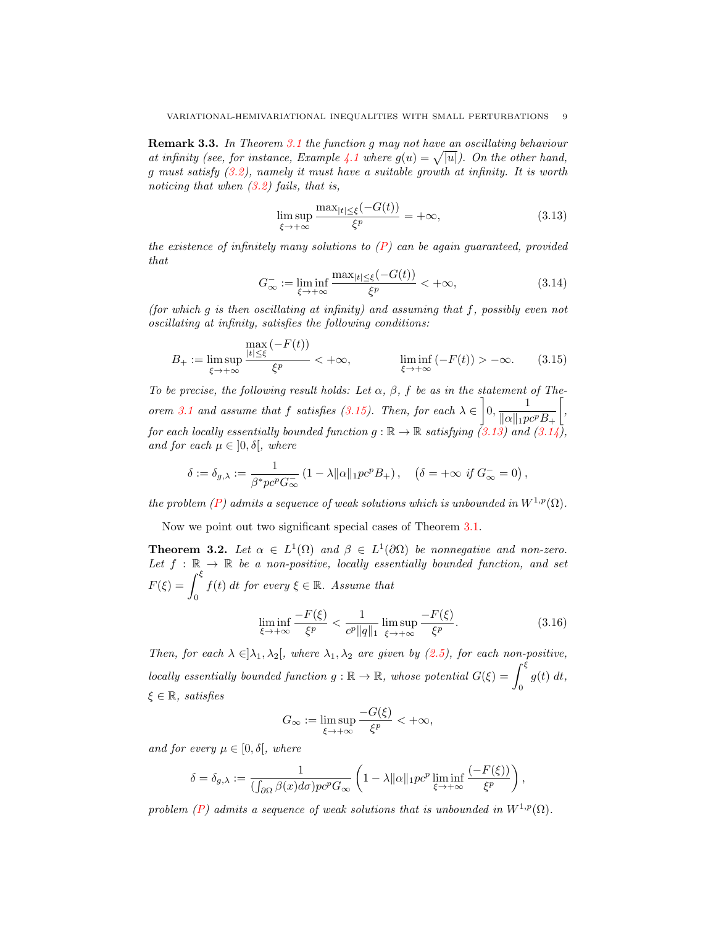Remark 3.3. In Theorem [3.1](#page-4-0) the function g may not have an oscillating behaviour at infinity (see, for instance, Example [4.1](#page-13-9) where  $g(u) = \sqrt{|u|}$ ). On the other hand, g must satisfy [\(3.2\)](#page-4-2), namely it must have a suitable growth at infinity. It is worth noticing that when  $(3.2)$  fails, that is,

<span id="page-8-2"></span>
$$
\limsup_{\xi \to +\infty} \frac{\max_{|t| \le \xi} (-G(t))}{\xi^p} = +\infty, \tag{3.13}
$$

the existence of infinitely many solutions to  $(P)$  can be again quaranteed, provided that

<span id="page-8-3"></span>
$$
G_{\infty}^{-} := \liminf_{\xi \to +\infty} \frac{\max_{|t| \le \xi} (-G(t))}{\xi^p} < +\infty,\tag{3.14}
$$

(for which g is then oscillating at infinity) and assuming that f, possibly even not oscillating at infinity, satisfies the following conditions:

<span id="page-8-1"></span>
$$
B_{+} := \limsup_{\xi \to +\infty} \frac{\max\left(-F(t)\right)}{\xi^{p}} < +\infty, \qquad \liminf_{\xi \to +\infty} \left(-F(t)\right) > -\infty. \tag{3.15}
$$

To be precise, the following result holds: Let  $\alpha$ ,  $\beta$ , f be as in the statement of The-orem [3.1](#page-4-0) and assume that f satisfies [\(3.15\)](#page-8-1). Then, for each  $\lambda \in \left]0, \frac{1}{\lambda \in \mathbb{R}^n}\right]$  $||\alpha||_1 pc^p B_+$  $\left[\right,$ for each locally essentially bounded function  $g : \mathbb{R} \to \mathbb{R}$  satisfying  $(3.13)$  and  $(3.14)$ , and for each  $\mu \in [0, \delta]$ , where

$$
\delta := \delta_{g,\lambda} := \frac{1}{\beta^* p c^p G_{\infty}^-} \left( 1 - \lambda \| \alpha \|_1 p c^p B_+ \right), \quad \left( \delta = +\infty \text{ if } G_{\infty}^- = 0 \right),
$$

the problem [\(P\)](#page-0-0) admits a sequence of weak solutions which is unbounded in  $W^{1,p}(\Omega)$ .

Now we point out two significant special cases of Theorem [3.1.](#page-4-0)

<span id="page-8-0"></span>**Theorem 3.2.** Let  $\alpha \in L^1(\Omega)$  and  $\beta \in L^1(\partial\Omega)$  be nonnegative and non-zero. Let  $f : \mathbb{R} \to \mathbb{R}$  be a non-positive, locally essentially bounded function, and set  $F(\xi) = \int^{\xi}$ 0  $f(t)$  dt for every  $\xi \in \mathbb{R}$ . Assume that

<span id="page-8-4"></span>
$$
\liminf_{\xi \to +\infty} \frac{-F(\xi)}{\xi^p} < \frac{1}{c^p \|q\|_1} \limsup_{\xi \to +\infty} \frac{-F(\xi)}{\xi^p}.\tag{3.16}
$$

Then, for each  $\lambda \in ]\lambda_1, \lambda_2[$ , where  $\lambda_1, \lambda_2$  are given by [\(2.5\)](#page-3-1), for each non-positive, locally essentially bounded function  $g : \mathbb{R} \to \mathbb{R}$ , whose potential  $G(\xi) = \int^{\xi}$ 0  $g(t) dt$ ,  $\xi \in \mathbb{R}$ , satisfies

$$
G_{\infty} := \limsup_{\xi \to +\infty} \frac{-G(\xi)}{\xi^p} < +\infty,
$$

and for every  $\mu \in [0, \delta]$ , where

$$
\delta = \delta_{g,\lambda} := \frac{1}{(\int_{\partial\Omega} \beta(x) d\sigma) p c^p G_{\infty}} \left(1 - \lambda ||\alpha||_1 p c^p \liminf_{\xi \to +\infty} \frac{(-F(\xi))}{\xi^p}\right),
$$

problem [\(P\)](#page-0-0) admits a sequence of weak solutions that is unbounded in  $W^{1,p}(\Omega)$ .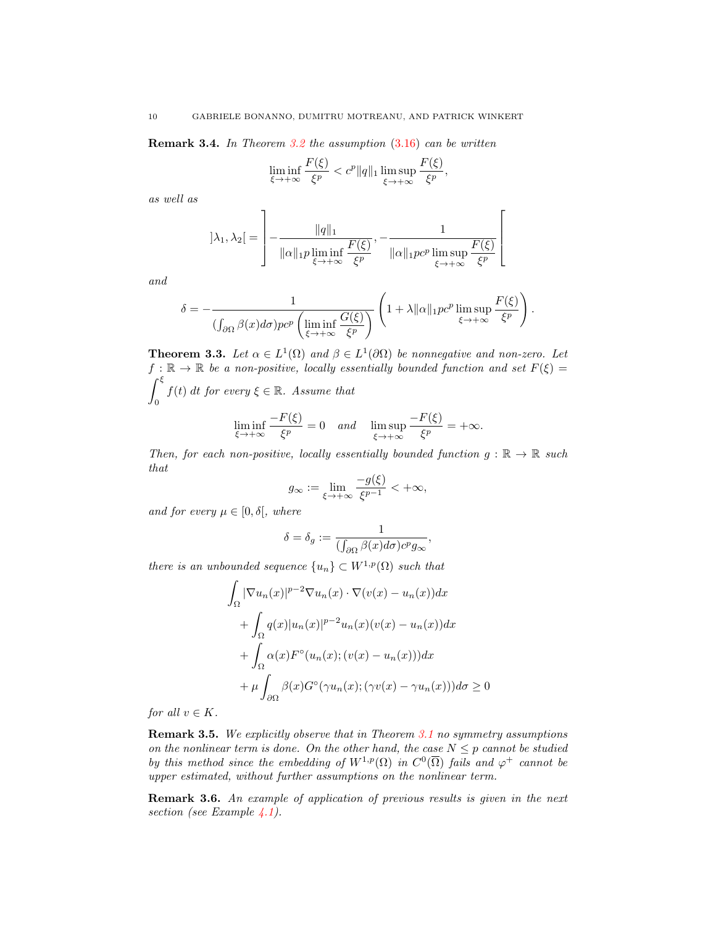Remark 3.4. In Theorem [3.2](#page-8-0) the assumption [\(3.16\)](#page-8-4) can be written

<span id="page-9-1"></span>
$$
\liminf_{\xi \to +\infty} \frac{F(\xi)}{\xi^p} < c^p \|q\|_1 \limsup_{\xi \to +\infty} \frac{F(\xi)}{\xi^p},
$$

as well as

$$
]\lambda_1, \lambda_2[ = \left]-\frac{\|q\|_1}{\|\alpha\|_1 p \liminf_{\xi \to +\infty} \frac{F(\xi)}{\xi^p}}, -\frac{1}{\|\alpha\|_1 p c^p \limsup_{\xi \to +\infty} \frac{F(\xi)}{\xi^p}}\right[
$$

and

$$
\delta = -\frac{1}{(\int_{\partial\Omega}\beta(x)d\sigma)pc^p\left(\liminf_{\xi\to+\infty}\frac{G(\xi)}{\xi^p}\right)}\left(1+\lambda\|\alpha\|_1pc^p\limsup_{\xi\to+\infty}\frac{F(\xi)}{\xi^p}\right).
$$

<span id="page-9-0"></span>**Theorem 3.3.** Let  $\alpha \in L^1(\Omega)$  and  $\beta \in L^1(\partial \Omega)$  be nonnegative and non-zero. Let  $f : \mathbb{R} \to \mathbb{R}$  be a non-positive, locally essentially bounded function and set  $F(\xi) =$  $\int^{\xi}$ 0  $f(t)$  dt for every  $\xi \in \mathbb{R}$ . Assume that

$$
\liminf_{\xi \to +\infty} \frac{-F(\xi)}{\xi^p} = 0 \quad and \quad \limsup_{\xi \to +\infty} \frac{-F(\xi)}{\xi^p} = +\infty.
$$

Then, for each non-positive, locally essentially bounded function  $g : \mathbb{R} \to \mathbb{R}$  such that

$$
g_{\infty} := \lim_{\xi \to +\infty} \frac{-g(\xi)}{\xi^{p-1}} < +\infty,
$$

and for every  $\mu \in [0, \delta],$  where

$$
\delta=\delta_g:=\frac{1}{(\int_{\partial\Omega}\beta(x)d\sigma)c^pg_\infty}
$$

,

there is an unbounded sequence  $\{u_n\} \subset W^{1,p}(\Omega)$  such that

$$
\int_{\Omega} |\nabla u_n(x)|^{p-2} \nabla u_n(x) \cdot \nabla (v(x) - u_n(x)) dx
$$

$$
+ \int_{\Omega} q(x) |u_n(x)|^{p-2} u_n(x) (v(x) - u_n(x)) dx
$$

$$
+ \int_{\Omega} \alpha(x) F^{\circ} (u_n(x); (v(x) - u_n(x))) dx
$$

$$
+ \mu \int_{\partial \Omega} \beta(x) G^{\circ} (\gamma u_n(x); (\gamma v(x) - \gamma u_n(x))) d\sigma \ge 0
$$

for all  $v \in K$ .

Remark 3.5. We explicitly observe that in Theorem [3.1](#page-4-0) no symmetry assumptions on the nonlinear term is done. On the other hand, the case  $N \leq p$  cannot be studied by this method since the embedding of  $W^{1,p}(\Omega)$  in  $C^0(\overline{\Omega})$  fails and  $\varphi^+$  cannot be upper estimated, without further assumptions on the nonlinear term.

Remark 3.6. An example of application of previous results is given in the next section (see Example [4.1\)](#page-13-9).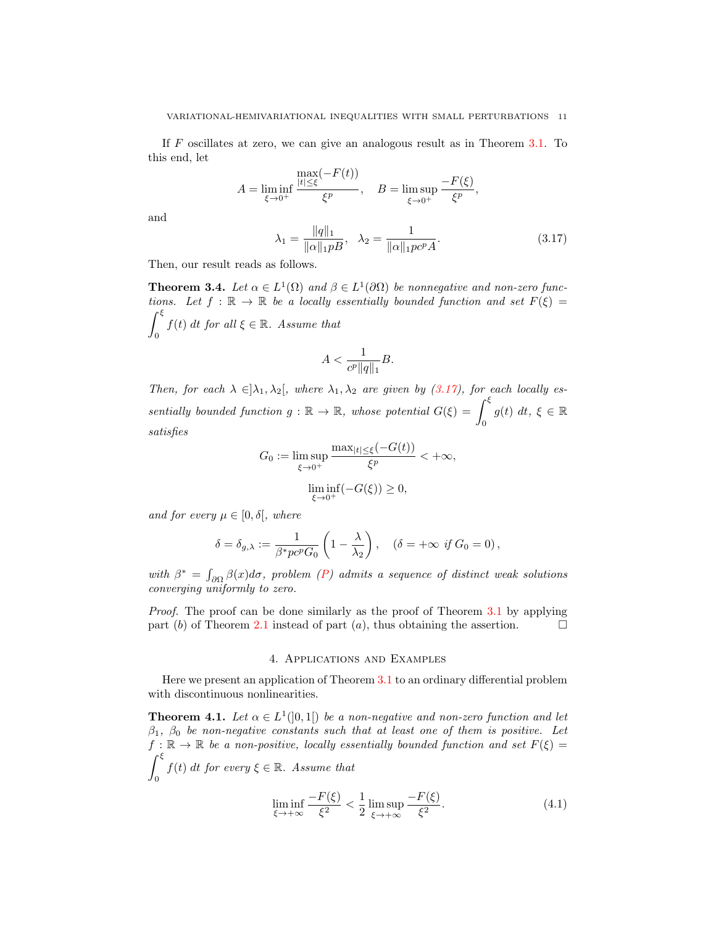If F oscillates at zero, we can give an analogous result as in Theorem [3.1.](#page-4-0) To this end, let

$$
A = \liminf_{\xi \to 0^+} \frac{\max_{|t| \le \xi} (-F(t))}{\xi^p}, \quad B = \limsup_{\xi \to 0^+} \frac{-F(\xi)}{\xi^p},
$$

and

$$
\lambda_1 = \frac{\|q\|_1}{\|\alpha\|_1 p B}, \quad \lambda_2 = \frac{1}{\|\alpha\|_1 p c^p A}.
$$
\n(3.17)

Then, our result reads as follows.

**Theorem 3.4.** Let  $\alpha \in L^1(\Omega)$  and  $\beta \in L^1(\partial \Omega)$  be nonnegative and non-zero functions. Let  $f : \mathbb{R} \to \mathbb{R}$  be a locally essentially bounded function and set  $F(\xi) =$  $\int^{\xi}$ 0  $f(t)$  dt for all  $\xi \in \mathbb{R}$ . Assume that

$$
A<\frac{1}{c^p\|q\|_1}B.
$$

Then, for each  $\lambda \in ]\lambda_1, \lambda_2[$ , where  $\lambda_1, \lambda_2$  are given by [\(3.17\)](#page-9-1), for each locally essentially bounded function  $g : \mathbb{R} \to \mathbb{R}$ , whose potential  $G(\xi) = \int_{\xi}^{\xi}$ 0  $g(t) dt, \xi \in \mathbb{R}$ satisfies

$$
G_0 := \limsup_{\xi \to 0^+} \frac{\max_{|t| \le \xi} (-G(t))}{\xi^p} < +\infty,
$$

$$
\liminf_{\xi \to 0^+} (-G(\xi)) \ge 0,
$$

and for every  $\mu \in [0, \delta],$  where

$$
\delta = \delta_{g,\lambda} := \frac{1}{\beta^* p c^p G_0} \left( 1 - \frac{\lambda}{\lambda_2} \right), \quad (\delta = +\infty \text{ if } G_0 = 0),
$$

with  $\beta^* = \int_{\partial\Omega} \beta(x) d\sigma$ , problem [\(P\)](#page-0-0) admits a sequence of distinct weak solutions converging uniformly to zero.

Proof. The proof can be done similarly as the proof of Theorem [3.1](#page-4-0) by applying part (b) of Theorem [2.1](#page-3-2) instead of part (a), thus obtaining the assertion.  $\Box$ 

#### 4. Applications and Examples

Here we present an application of Theorem [3.1](#page-4-0) to an ordinary differential problem with discontinuous nonlinearities.

<span id="page-10-0"></span>**Theorem 4.1.** Let  $\alpha \in L^1([0,1])$  be a non-negative and non-zero function and let  $\beta_1$ ,  $\beta_0$  be non-negative constants such that at least one of them is positive. Let  $f : \mathbb{R} \to \mathbb{R}$  be a non-positive, locally essentially bounded function and set  $F(\xi) =$  $\int^{\xi}$ 0  $f(t)$  dt for every  $\xi \in \mathbb{R}$ . Assume that  $-F(\xi)$ 1  $-$ F $($ 

<span id="page-10-1"></span>
$$
\liminf_{\xi \to +\infty} \frac{-F(\xi)}{\xi^2} < \frac{1}{2} \limsup_{\xi \to +\infty} \frac{-F(\xi)}{\xi^2}.\tag{4.1}
$$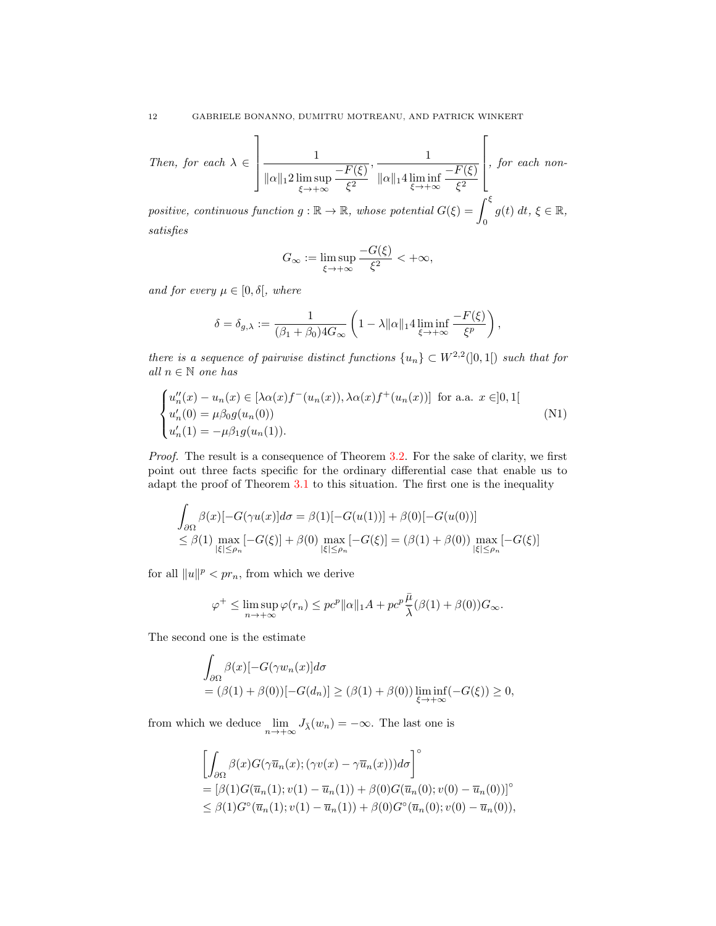Then, for each  $\lambda \in$ 1  $\begin{matrix} \phantom{-} \end{matrix}$ 1  $\|\alpha\|_1 2 \limsup_{\xi \to +\infty}$  $-F(\xi)$  $\xi^2$ , 1  $\|\alpha\|_1 4 \liminf_{\xi \to +\infty}$  $-F(\xi)$  $\xi^2$  $\lceil$  , for each non-

positive, continuous function  $g : \mathbb{R} \to \mathbb{R}$ , whose potential  $G(\xi) = \int_{\xi}^{\xi}$ 0  $g(t) dt, \xi \in \mathbb{R},$ satisfies

<span id="page-11-0"></span>
$$
G_{\infty} := \limsup_{\xi \to +\infty} \frac{-G(\xi)}{\xi^2} < +\infty,
$$

and for every  $\mu \in [0, \delta]$ , where

$$
\delta = \delta_{g,\lambda} := \frac{1}{(\beta_1 + \beta_0)4G_{\infty}} \left(1 - \lambda ||\alpha||_1 4 \liminf_{\xi \to +\infty} \frac{-F(\xi)}{\xi^p}\right),
$$

there is a sequence of pairwise distinct functions  ${u_n} \subset W^{2,2}(]0,1[)$  such that for all  $n \in \mathbb{N}$  one has

$$
\begin{cases}\nu_n''(x) - u_n(x) \in [\lambda \alpha(x) f^-(u_n(x)), \lambda \alpha(x) f^+(u_n(x))] \text{ for a.a. } x \in ]0,1[ \\
u'_n(0) = \mu \beta_0 g(u_n(0)) \\
u'_n(1) = -\mu \beta_1 g(u_n(1)).\n\end{cases} \tag{N1}
$$

Proof. The result is a consequence of Theorem [3.2.](#page-8-0) For the sake of clarity, we first point out three facts specific for the ordinary differential case that enable us to adapt the proof of Theorem [3.1](#page-4-0) to this situation. The first one is the inequality

$$
\int_{\partial\Omega} \beta(x)[-G(\gamma u(x)]d\sigma = \beta(1)[-G(u(1))] + \beta(0)[-G(u(0))]
$$
\n
$$
\leq \beta(1) \max_{|\xi| \leq \rho_n} [-G(\xi)] + \beta(0) \max_{|\xi| \leq \rho_n} [-G(\xi)] = (\beta(1) + \beta(0)) \max_{|\xi| \leq \rho_n} [-G(\xi)]
$$

for all  $||u||^p \leq pr_n$ , from which we derive

$$
\varphi^+ \leq \limsup_{n \to +\infty} \varphi(r_n) \leq p c^p \|\alpha\|_1 A + p c^p \frac{\bar{\mu}}{\bar{\lambda}} (\beta(1) + \beta(0)) G_{\infty}.
$$

The second one is the estimate

$$
\int_{\partial\Omega} \beta(x)[-G(\gamma w_n(x)]d\sigma
$$
  
=  $(\beta(1) + \beta(0))[-G(d_n)] \ge (\beta(1) + \beta(0)) \liminf_{\xi \to +\infty} (-G(\xi)) \ge 0,$ 

from which we deduce  $\lim_{n \to +\infty} J_{\bar{\lambda}}(w_n) = -\infty$ . The last one is

$$
\begin{aligned} & \left[ \int_{\partial \Omega} \beta(x) G(\gamma \overline{u}_n(x); (\gamma v(x) - \gamma \overline{u}_n(x))) d\sigma \right]^{\circ} \\ &= \left[ \beta(1) G(\overline{u}_n(1); v(1) - \overline{u}_n(1)) + \beta(0) G(\overline{u}_n(0); v(0) - \overline{u}_n(0)) \right]^{\circ} \\ &\leq \beta(1) G^{\circ}(\overline{u}_n(1); v(1) - \overline{u}_n(1)) + \beta(0) G^{\circ}(\overline{u}_n(0); v(0) - \overline{u}_n(0)), \end{aligned}
$$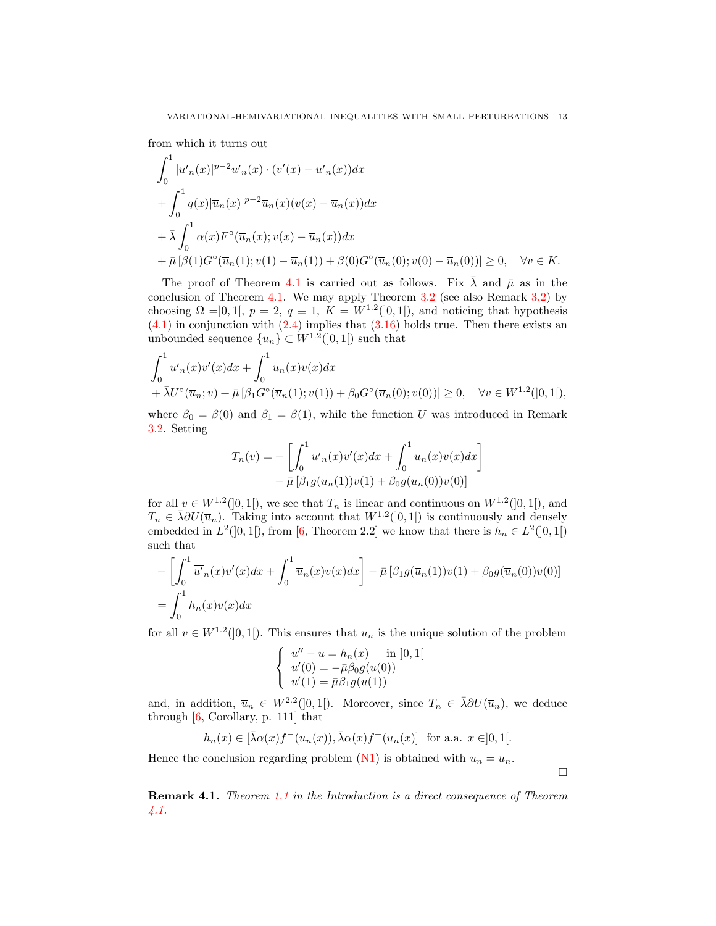from which it turns out

$$
\int_0^1 |\overline{u'}_n(x)|^{p-2} \overline{u'}_n(x) \cdot (v'(x) - \overline{u'}_n(x)) dx
$$
  
+ 
$$
\int_0^1 q(x) |\overline{u}_n(x)|^{p-2} \overline{u}_n(x) (v(x) - \overline{u}_n(x)) dx
$$
  
+ 
$$
\overline{\lambda} \int_0^1 \alpha(x) F^\circ(\overline{u}_n(x); v(x) - \overline{u}_n(x)) dx
$$
  
+ 
$$
\overline{\mu} [\beta(1) G^\circ(\overline{u}_n(1); v(1) - \overline{u}_n(1)) + \beta(0) G^\circ(\overline{u}_n(0); v(0) - \overline{u}_n(0))] \ge 0, \quad \forall v \in K.
$$

The proof of Theorem [4.1](#page-10-0) is carried out as follows. Fix  $\bar{\lambda}$  and  $\bar{\mu}$  as in the conclusion of Theorem [4.1.](#page-10-0) We may apply Theorem [3.2](#page-8-0) (see also Remark [3.2\)](#page-7-2) by choosing  $\Omega = ]0,1[, p = 2, q = 1, K = W^{1,2}(]0,1[),$  and noticing that hypothesis  $(4.1)$  in conjunction with  $(2.4)$  implies that  $(3.16)$  holds true. Then there exists an unbounded sequence  $\{\overline{u}_n\} \subset W^{1,2}(]0,1[)$  such that

$$
\int_0^1 \overline{u'}_n(x)v'(x)dx + \int_0^1 \overline{u}_n(x)v(x)dx \n+ \bar{\lambda}U^{\circ}(\overline{u}_n; v) + \bar{\mu}[\beta_1 G^{\circ}(\overline{u}_n(1); v(1)) + \beta_0 G^{\circ}(\overline{u}_n(0); v(0))] \ge 0, \quad \forall v \in W^{1,2}(]0,1[),
$$

where  $\beta_0 = \beta(0)$  and  $\beta_1 = \beta(1)$ , while the function U was introduced in Remark [3.2.](#page-7-2) Setting

$$
T_n(v) = -\left[\int_0^1 \overline{u'}_n(x)v'(x)dx + \int_0^1 \overline{u}_n(x)v(x)dx\right]
$$

$$
-\bar{\mu}\left[\beta_1 g(\overline{u}_n(1))v(1) + \beta_0 g(\overline{u}_n(0))v(0)\right]
$$

for all  $v \in W^{1,2}(]0,1[)$ , we see that  $T_n$  is linear and continuous on  $W^{1,2}(]0,1[)$ , and  $T_n \in \bar{\lambda} \partial U(\bar{u}_n)$ . Taking into account that  $W^{1,2}(]0,1[)$  is continuously and densely embedded in  $L^2(]0,1[)$ , from [\[6,](#page-13-6) Theorem 2.2] we know that there is  $h_n \in L^2(]0,1[)$ such that

$$
-\left[\int_0^1 \overline{u'}_n(x)v'(x)dx + \int_0^1 \overline{u}_n(x)v(x)dx\right] - \overline{\mu}\left[\beta_1 g(\overline{u}_n(1))v(1) + \beta_0 g(\overline{u}_n(0))v(0)\right]
$$
  
= 
$$
\int_0^1 h_n(x)v(x)dx
$$

for all  $v \in W^{1,2}(]0,1[)$ . This ensures that  $\overline{u}_n$  is the unique solution of the problem

$$
\begin{cases}\n u'' - u = h_n(x) \text{ in } [0, 1[ \\
 u'(0) = -\bar{\mu}\beta_0 g(u(0)) \\
 u'(1) = \bar{\mu}\beta_1 g(u(1))\n\end{cases}
$$

and, in addition,  $\overline{u}_n \in W^{2,2}(]0,1[)$ . Moreover, since  $T_n \in \overline{\lambda} \partial U(\overline{u}_n)$ , we deduce through [\[6,](#page-13-6) Corollary, p. 111] that

$$
h_n(x) \in [\bar{\lambda}\alpha(x)f^-(\bar{u}_n(x)), \bar{\lambda}\alpha(x)f^+(\bar{u}_n(x)) \text{ for a.a. } x \in ]0,1[.
$$

Hence the conclusion regarding problem [\(N1\)](#page-11-0) is obtained with  $u_n = \overline{u}_n$ .

Remark 4.1. Theorem [1.1](#page-1-0) in the Introduction is a direct consequence of Theorem [4.1.](#page-10-0)

 $\Box$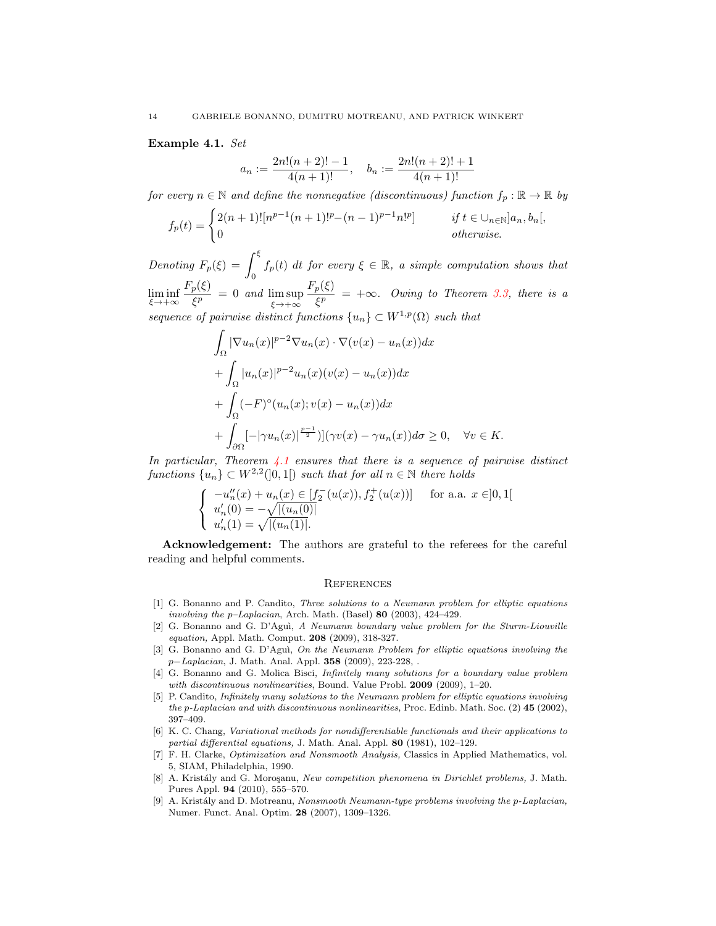## <span id="page-13-9"></span>Example 4.1. Set

 $\overline{a}$ 

$$
n := \frac{2n!(n+2)! - 1}{4(n+1)!}, \quad b_n := \frac{2n!(n+2)! + 1}{4(n+1)!}
$$

for every  $n \in \mathbb{N}$  and define the nonnegative (discontinuous) function  $f_p : \mathbb{R} \to \mathbb{R}$  by

$$
f_p(t) = \begin{cases} 2(n+1)! [n^{p-1}(n+1)!^p - (n-1)^{p-1} n!^p] & \text{if } t \in \bigcup_{n \in \mathbb{N}} ]a_n, b_n[, \\ 0 & \text{otherwise.} \end{cases}
$$

Denoting  $F_p(\xi) = \int^{\xi} f_p(t) dt$  for every  $\xi \in \mathbb{R}$ , a simple computation shows that  $\mathbf{0}$  $\liminf_{\xi \to +\infty}$  $F_p(\xi)$  $\frac{p(S)}{\xi^p} = 0$  and  $\limsup_{\xi \to +\infty}$  $F_p(\xi)$  $\frac{p(S)}{\xi^p}$  =  $+\infty$ . Owing to Theorem [3.3,](#page-9-0) there is a sequence of pairwise distinct functions  $\{u_n\} \subset W^{1,p}(\Omega)$  such that

$$
\int_{\Omega} |\nabla u_n(x)|^{p-2} \nabla u_n(x) \cdot \nabla (v(x) - u_n(x)) dx
$$
  
+ 
$$
\int_{\Omega} |u_n(x)|^{p-2} u_n(x) (v(x) - u_n(x)) dx
$$
  
+ 
$$
\int_{\Omega} (-F)^{\circ} (u_n(x); v(x) - u_n(x)) dx
$$
  
+ 
$$
\int_{\partial \Omega} [-|\gamma u_n(x)|^{\frac{p-1}{2}}] (\gamma v(x) - \gamma u_n(x)) d\sigma \ge 0, \quad \forall v \in K.
$$

In particular, Theorem [4.1](#page-10-0) ensures that there is a sequence of pairwise distinct functions  $\{u_n\} \subset W^{2,2}(]0,1[)$  such that for all  $n \in \mathbb{N}$  there holds

$$
\left\{\begin{array}{ll} -u_n''(x)+u_n(x)\in [f_2^-(u(x)),f_2^+(u(x))] & \text{for a.a. } x\in ]0,1[\\ u_n'(0)=-\sqrt{|(u_n(0)|} \\ u_n'(1)=\sqrt{|(u_n(1)|}. \end{array}\right.
$$

Acknowledgement: The authors are grateful to the referees for the careful reading and helpful comments.

## **REFERENCES**

- <span id="page-13-8"></span>[1] G. Bonanno and P. Candito, Three solutions to a Neumann problem for elliptic equations involving the  $p$ -Laplacian, Arch. Math. (Basel) 80 (2003), 424-429.
- <span id="page-13-0"></span>[2] G. Bonanno and G. D'Agu`ı, A Neumann boundary value problem for the Sturm-Liouville equation, Appl. Math. Comput. 208 (2009), 318-327.
- <span id="page-13-1"></span>[3] G. Bonanno and G. D'Agu`ı, On the Neumann Problem for elliptic equations involving the p−Laplacian, J. Math. Anal. Appl. 358 (2009), 223-228, .
- <span id="page-13-7"></span>[4] G. Bonanno and G. Molica Bisci, Infinitely many solutions for a boundary value problem with discontinuous nonlinearities, Bound. Value Probl. 2009 (2009), 1-20.
- <span id="page-13-2"></span>[5] P. Candito, Infinitely many solutions to the Neumann problem for elliptic equations involving the p-Laplacian and with discontinuous nonlinearities, Proc. Edinb. Math. Soc. (2) 45 (2002), 397–409.
- <span id="page-13-6"></span>[6] K. C. Chang, Variational methods for nondifferentiable functionals and their applications to partial differential equations, J. Math. Anal. Appl. 80 (1981), 102-129.
- <span id="page-13-5"></span>[7] F. H. Clarke, Optimization and Nonsmooth Analysis, Classics in Applied Mathematics, vol. 5, SIAM, Philadelphia, 1990.
- <span id="page-13-4"></span>[8] A. Kristály and G. Moroşanu, New competition phenomena in Dirichlet problems, J. Math. Pures Appl. 94 (2010), 555–570.
- <span id="page-13-3"></span>[9] A. Kristály and D. Motreanu, Nonsmooth Neumann-type problems involving the p-Laplacian, Numer. Funct. Anal. Optim. 28 (2007), 1309–1326.